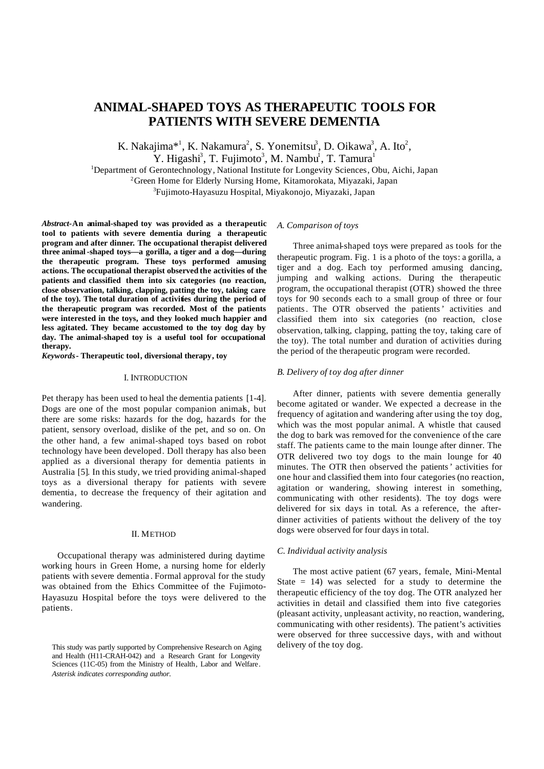# **ANIMAL-SHAPED TOYS AS THERAPEUTIC TOOLS FOR PATIENTS WITH SEVERE DEMENTIA**

K. Nakajima\*<sup>1</sup>, K. Nakamura<sup>2</sup>, S. Yonemitsu<sup>3</sup>, D. Oikawa<sup>3</sup>, A. Ito<sup>2</sup>, Y. Higashi<sup>3</sup>, T. Fujimoto<sup>3</sup>, M. Nambu<sup>1</sup>, T. Tamura<sup>1</sup>

<sup>1</sup>Department of Gerontechnology, National Institute for Longevity Sciences, Obu, Aichi, Japan <sup>2</sup>Green Home for Elderly Nursing Home, Kitamorokata, Miyazaki, Japan <sup>3</sup>Fujimoto-Hayasuzu Hospital, Miyakonojo, Miyazaki, Japan

*Abstract***-An animal-shaped toy was provided as a therapeutic tool to patients with severe dementia during a therapeutic program and after dinner. The occupational therapist delivered three animal-shaped toys—a gorilla, a tiger and a dog—during the therapeutic program. These toys performed amusing actions. The occupational therapist observed the activities of the patients and classified them into six categories (no reaction, close observation, talking, clapping, patting the toy, taking care of the toy). The total duration of activities during the period of the therapeutic program was recorded. Most of the patients were interested in the toys, and they looked much happier and less agitated. They became accustomed to the toy dog day by day. The animal-shaped toy is a useful tool for occupational therapy.**

*Keywords* **- Therapeutic tool, diversional therapy, toy**

## I. INTRODUCTION

Pet therapy has been used to heal the dementia patients [1-4]. Dogs are one of the most popular companion animals, but there are some risks: hazards for the dog, hazards for the patient, sensory overload, dislike of the pet, and so on. On the other hand, a few animal-shaped toys based on robot technology have been developed. Doll therapy has also been applied as a diversional therapy for dementia patients in Australia [5]. In this study, we tried providing animal-shaped toys as a diversional therapy for patients with severe dementia, to decrease the frequency of their agitation and wandering.

## II. METHOD

Occupational therapy was administered during daytime working hours in Green Home, a nursing home for elderly patients with severe dementia . Formal approval for the study was obtained from the Ethics Committee of the Fujimoto-Hayasuzu Hospital before the toys were delivered to the patients.

## *A. Comparison of toys*

Three animal-shaped toys were prepared as tools for the therapeutic program. Fig. 1 is a photo of the toys: a gorilla, a tiger and a dog. Each toy performed amusing dancing, jumping and walking actions. During the therapeutic program, the occupational therapist (OTR) showed the three toys for 90 seconds each to a small group of three or four patients. The OTR observed the patients' activities and classified them into six categories (no reaction, close observation, talking, clapping, patting the toy, taking care of the toy). The total number and duration of activities during the period of the therapeutic program were recorded.

## *B. Delivery of toy dog after dinner*

After dinner, patients with severe dementia generally become agitated or wander. We expected a decrease in the frequency of agitation and wandering after using the toy dog, which was the most popular animal. A whistle that caused the dog to bark was removed for the convenience of the care staff. The patients came to the main lounge after dinner. The OTR delivered two toy dogs to the main lounge for 40 minutes. The OTR then observed the patients' activities for one hour and classified them into four categories (no reaction, agitation or wandering, showing interest in something, communicating with other residents). The toy dogs were delivered for six days in total. As a reference, the afterdinner activities of patients without the delivery of the toy dogs were observed for four days in total.

## *C. Individual activity analysis*

The most active patient (67 years, female, Mini-Mental State  $= 14$ ) was selected for a study to determine the therapeutic efficiency of the toy dog. The OTR analyzed her activities in detail and classified them into five categories (pleasant activity, unpleasant activity, no reaction, wandering, communicating with other residents). The patient's activities were observed for three successive days, with and without delivery of the toy dog.

This study was partly supported by Comprehensive Research on Aging and Health (H11-CRAH-042) and a Research Grant for Longevity Sciences (11C-05) from the Ministry of Health, Labor and Welfare. *Asterisk indicates corresponding author.*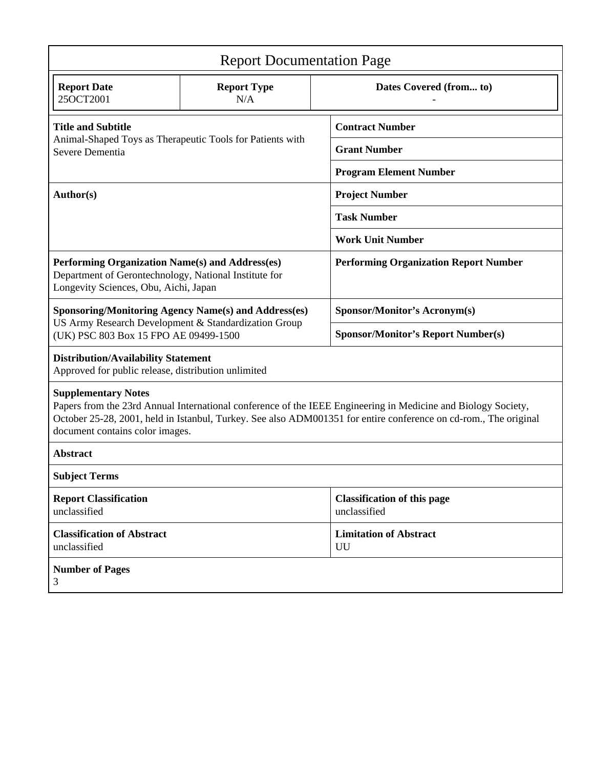| <b>Report Documentation Page</b>                                                                                                                                                                                                                                                                   |                           |                                                    |
|----------------------------------------------------------------------------------------------------------------------------------------------------------------------------------------------------------------------------------------------------------------------------------------------------|---------------------------|----------------------------------------------------|
| <b>Report Date</b><br>25OCT2001                                                                                                                                                                                                                                                                    | <b>Report Type</b><br>N/A | Dates Covered (from to)                            |
| <b>Title and Subtitle</b><br>Animal-Shaped Toys as Therapeutic Tools for Patients with<br>Severe Dementia                                                                                                                                                                                          |                           | <b>Contract Number</b>                             |
|                                                                                                                                                                                                                                                                                                    |                           | <b>Grant Number</b>                                |
|                                                                                                                                                                                                                                                                                                    |                           | <b>Program Element Number</b>                      |
| Author(s)                                                                                                                                                                                                                                                                                          |                           | <b>Project Number</b>                              |
|                                                                                                                                                                                                                                                                                                    |                           | <b>Task Number</b>                                 |
|                                                                                                                                                                                                                                                                                                    |                           | <b>Work Unit Number</b>                            |
| Performing Organization Name(s) and Address(es)<br>Department of Gerontechnology, National Institute for<br>Longevity Sciences, Obu, Aichi, Japan                                                                                                                                                  |                           | <b>Performing Organization Report Number</b>       |
| <b>Sponsoring/Monitoring Agency Name(s) and Address(es)</b><br>US Army Research Development & Standardization Group<br>(UK) PSC 803 Box 15 FPO AE 09499-1500                                                                                                                                       |                           | Sponsor/Monitor's Acronym(s)                       |
|                                                                                                                                                                                                                                                                                                    |                           | <b>Sponsor/Monitor's Report Number(s)</b>          |
| <b>Distribution/Availability Statement</b><br>Approved for public release, distribution unlimited                                                                                                                                                                                                  |                           |                                                    |
| <b>Supplementary Notes</b><br>Papers from the 23rd Annual International conference of the IEEE Engineering in Medicine and Biology Society,<br>October 25-28, 2001, held in Istanbul, Turkey. See also ADM001351 for entire conference on cd-rom., The original<br>document contains color images. |                           |                                                    |
| <b>Abstract</b>                                                                                                                                                                                                                                                                                    |                           |                                                    |
| <b>Subject Terms</b>                                                                                                                                                                                                                                                                               |                           |                                                    |
| <b>Report Classification</b><br>unclassified                                                                                                                                                                                                                                                       |                           | <b>Classification of this page</b><br>unclassified |
| <b>Classification of Abstract</b><br>unclassified                                                                                                                                                                                                                                                  |                           | <b>Limitation of Abstract</b><br>UU                |
| <b>Number of Pages</b><br>3                                                                                                                                                                                                                                                                        |                           |                                                    |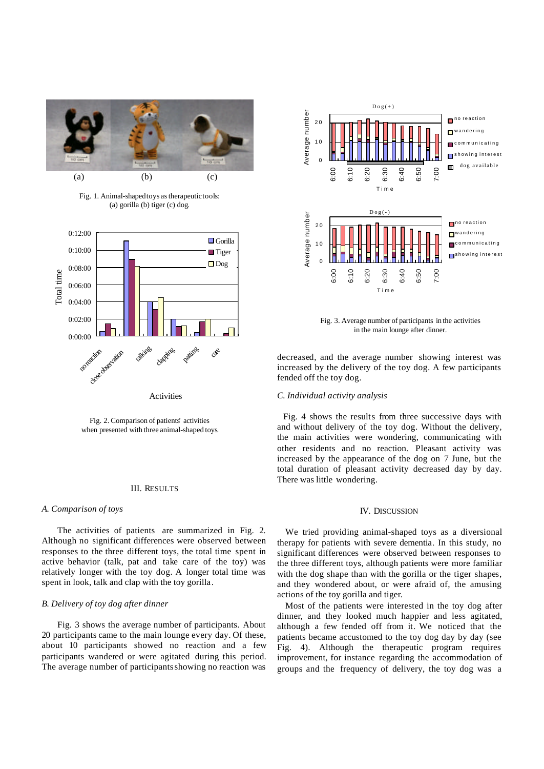

Fig. 1. Animal-shaped toys as therapeutictools: (a) gorilla (b) tiger (c) dog.



Fig. 2. Comparison of patients' activities when presented with three animal-shaped toys.

## III. RESULTS

#### *A. Comparison of toys*

The activities of patients are summarized in Fig. 2. Although no significant differences were observed between responses to the three different toys, the total time spent in active behavior (talk, pat and take care of the toy) was relatively longer with the toy dog. A longer total time was spent in look, talk and clap with the toy gorilla.

## *B. Delivery of toy dog after dinner*

Fig. 3 shows the average number of participants. About 20 participants came to the main lounge every day. Of these, about 10 participants showed no reaction and a few participants wandered or were agitated during this period. The average number of participants showing no reaction was



Fig. 3. Average number of participants in the activities in the main lounge after dinner.

decreased, and the average number showing interest was increased by the delivery of the toy dog. A few participants fended off the toy dog.

## *C. Individual activity analysis*

Fig. 4 shows the results from three successive days with and without delivery of the toy dog. Without the delivery, the main activities were wondering, communicating with other residents and no reaction. Pleasant activity was increased by the appearance of the dog on 7 June, but the total duration of pleasant activity decreased day by day. There was little wondering.

## IV. DISCUSSION

We tried providing animal-shaped toys as a diversional therapy for patients with severe dementia. In this study, no significant differences were observed between responses to the three different toys, although patients were more familiar with the dog shape than with the gorilla or the tiger shapes, and they wondered about, or were afraid of, the amusing actions of the toy gorilla and tiger.

Most of the patients were interested in the toy dog after dinner, and they looked much happier and less agitated, although a few fended off from it. We noticed that the patients became accustomed to the toy dog day by day (see Fig. 4). Although the therapeutic program requires improvement, for instance regarding the accommodation of groups and the frequency of delivery, the toy dog was a